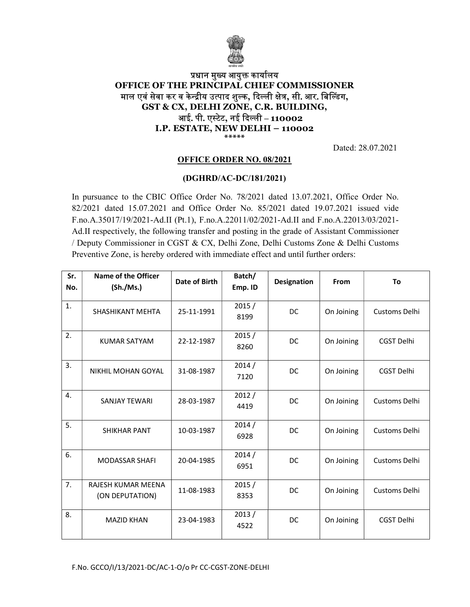

## प्रधान मुख्य आयुक्त कार्यालय OFFICE OF THE PRINCIPAL CHIEF COMMISSIONER माल एवं सेवा कर व केन्द्रीय उत्पाद शुल्क, दिल्ली क्षेत्र, सी. आर. बिल्डिंग, GST & CX, DELHI ZONE, C.R. BUILDING, आई. पी. एस्टेट, नई दिल्ली – 110002 I.P. ESTATE, NEW DELHI – 110002 \*\*\*\*\*

Dated: 28.07.2021

## OFFICE ORDER NO. 08/2021

## (DGHRD/AC-DC/181/2021)

In pursuance to the CBIC Office Order No. 78/2021 dated 13.07.2021, Office Order No. 82/2021 dated 15.07.2021 and Office Order No. 85/2021 dated 19.07.2021 issued vide F.no.A.35017/19/2021-Ad.II (Pt.1), F.no.A.22011/02/2021-Ad.II and F.no.A.22013/03/2021- Ad.II respectively, the following transfer and posting in the grade of Assistant Commissioner / Deputy Commissioner in CGST & CX, Delhi Zone, Delhi Customs Zone & Delhi Customs Preventive Zone, is hereby ordered with immediate effect and until further orders:

| Sr.<br>No. | <b>Name of the Officer</b><br>(Sh./Ms.) | Date of Birth | Batch/<br>Emp. ID | <b>Designation</b> | From       | To                   |
|------------|-----------------------------------------|---------------|-------------------|--------------------|------------|----------------------|
| 1.         | <b>SHASHIKANT MEHTA</b>                 | 25-11-1991    | 2015/<br>8199     | DC                 | On Joining | Customs Delhi        |
| 2.         | <b>KUMAR SATYAM</b>                     | 22-12-1987    | 2015/<br>8260     | DC                 | On Joining | CGST Delhi           |
| 3.         | NIKHIL MOHAN GOYAL                      | 31-08-1987    | 2014/<br>7120     | DC                 | On Joining | <b>CGST Delhi</b>    |
| 4.         | <b>SANJAY TEWARI</b>                    | 28-03-1987    | 2012/<br>4419     | DC.                | On Joining | Customs Delhi        |
| 5.         | <b>SHIKHAR PANT</b>                     | 10-03-1987    | 2014/<br>6928     | DC                 | On Joining | <b>Customs Delhi</b> |
| 6.         | <b>MODASSAR SHAFI</b>                   | 20-04-1985    | 2014/<br>6951     | DC                 | On Joining | Customs Delhi        |
| 7.         | RAJESH KUMAR MEENA<br>(ON DEPUTATION)   | 11-08-1983    | 2015/<br>8353     | DC.                | On Joining | Customs Delhi        |
| 8.         | <b>MAZID KHAN</b>                       | 23-04-1983    | 2013/<br>4522     | <b>DC</b>          | On Joining | <b>CGST Delhi</b>    |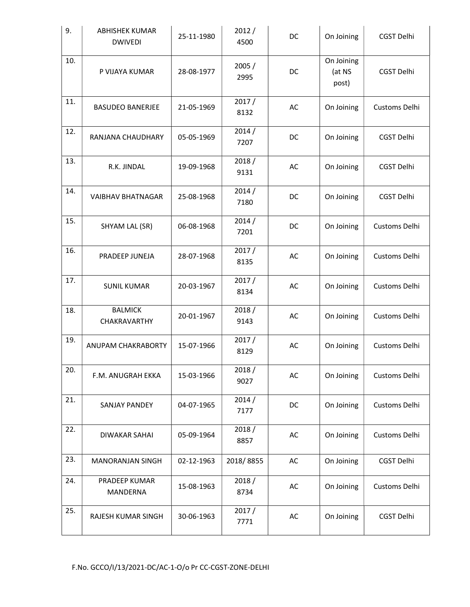| 9.  | <b>ABHISHEK KUMAR</b><br><b>DWIVEDI</b> | 25-11-1980 | 2012/<br>4500 | DC | On Joining                    | CGST Delhi        |
|-----|-----------------------------------------|------------|---------------|----|-------------------------------|-------------------|
| 10. | P VIJAYA KUMAR                          | 28-08-1977 | 2005/<br>2995 | DC | On Joining<br>(at NS<br>post) | CGST Delhi        |
| 11. | <b>BASUDEO BANERJEE</b>                 | 21-05-1969 | 2017/<br>8132 | AC | On Joining                    | Customs Delhi     |
| 12. | RANJANA CHAUDHARY                       | 05-05-1969 | 2014/<br>7207 | DC | On Joining                    | <b>CGST Delhi</b> |
| 13. | R.K. JINDAL                             | 19-09-1968 | 2018/<br>9131 | AC | On Joining                    | CGST Delhi        |
| 14. | <b>VAIBHAV BHATNAGAR</b>                | 25-08-1968 | 2014/<br>7180 | DC | On Joining                    | CGST Delhi        |
| 15. | SHYAM LAL (SR)                          | 06-08-1968 | 2014/<br>7201 | DC | On Joining                    | Customs Delhi     |
| 16. | PRADEEP JUNEJA                          | 28-07-1968 | 2017/<br>8135 | AC | On Joining                    | Customs Delhi     |
| 17. | <b>SUNIL KUMAR</b>                      | 20-03-1967 | 2017/<br>8134 | AC | On Joining                    | Customs Delhi     |
| 18. | <b>BALMICK</b><br>CHAKRAVARTHY          | 20-01-1967 | 2018/<br>9143 | AC | On Joining                    | Customs Delhi     |
| 19. | ANUPAM CHAKRABORTY                      | 15-07-1966 | 2017/<br>8129 | AC | On Joining                    | Customs Delhi     |
| 20. | F.M. ANUGRAH EKKA                       | 15-03-1966 | 2018/<br>9027 | AC | On Joining                    | Customs Delhi     |
| 21. | SANJAY PANDEY                           | 04-07-1965 | 2014/<br>7177 | DC | On Joining                    | Customs Delhi     |
| 22. | <b>DIWAKAR SAHAI</b>                    | 05-09-1964 | 2018/<br>8857 | AC | On Joining                    | Customs Delhi     |
| 23. | <b>MANORANJAN SINGH</b>                 | 02-12-1963 | 2018/8855     | AC | On Joining                    | CGST Delhi        |
| 24. | PRADEEP KUMAR<br>MANDERNA               | 15-08-1963 | 2018/<br>8734 | AC | On Joining                    | Customs Delhi     |
| 25. | RAJESH KUMAR SINGH                      | 30-06-1963 | 2017/<br>7771 | AC | On Joining                    | CGST Delhi        |